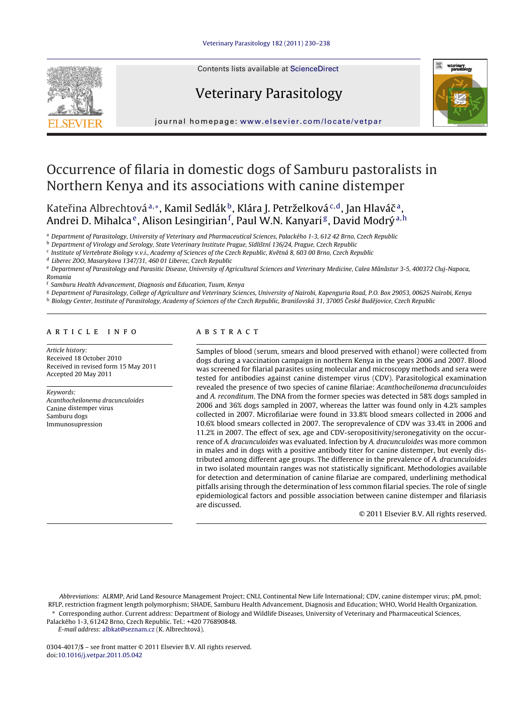

Contents lists available at [ScienceDirect](http://www.sciencedirect.com/science/journal/03044017)

# Veterinary Parasitology



jour nal homepage: [www.elsevier.com/locate/vetpar](http://www.elsevier.com/locate/vetpar)

# Occurrence of filaria in domestic dogs of Samburu pastoralists in Northern Kenya and its associations with canine distemper

Kateřina Albrechtová<sup>a,</sup>\*, Kamil Sedlák<sup>b</sup>, Klára J. Petrželková<sup>c,d</sup>, Jan Hlaváč<sup>a</sup>, Andrei D. Mihalca<sup>e</sup>, Alison Lesingirian<sup>f</sup>, Paul W.N. Kanyari<sup>g</sup>, David Modrý<sup>a,h</sup>

<sup>a</sup> Department of Parasitology, University of Veterinary and Pharmaceutical Sciences, Palackého 1-3, 612 42 Brno, Czech Republic

<sup>b</sup> Department of Virology and Serology, State Veterinary Institute Prague, Sídlištní 136/24, Prague, Czech Republic

<sup>c</sup> Institute of Vertebrate Biology v.v.i., Academy of Sciences of the Czech Republic, Květná 8, 603 00 Brno, Czech Republic

<sup>d</sup> Liberec ZOO, Masarykova 1347/31, 460 01 Liberec, Czech Republic

e Department of Parasitology and Parasitic Disease, University of Agricultural Sciences and Veterinary Medicine, Calea Mãnãstur 3-5, 400372 Cluj-Napoca, Romania

<sup>f</sup> Samburu Health Advancement, Diagnosis and Education, Tuum, Kenya

<sup>g</sup> Department of Parasitology, College of Agriculture and Veterinary Sciences, University of Nairobi, Kapenguria Road, P.O. Box 29053, 00625 Nairobi, Kenya h Biology Center, Institute of Parasitology, Academy of Sciences of the Czech Republic, Branišovská 31, 37005 České Budějovice, Czech Republic

## A P T I C L E I N E O

Article history: Received 18 October 2010 Received in revised form 15 May 2011 Accepted 20 May 2011

Keywords: Acanthocheilonema dracunculoides Canine distemper virus Samburu dogs Immunosupression

# a b s t r a c t

Samples of blood (serum, smears and blood preserved with ethanol) were collected from dogs during a vaccination campaign in northern Kenya in the years 2006 and 2007. Blood was screened for filarial parasites using molecular and microscopy methods and sera were tested for antibodies against canine distemper virus (CDV). Parasitological examination revealed the presence of two species of canine filariae: Acanthocheilonema dracunculoides and A. reconditum. The DNA from the former species was detected in 58% dogs sampled in 2006 and 36% dogs sampled in 2007, whereas the latter was found only in 4.2% samples collected in 2007. Microfilariae were found in 33.8% blood smears collected in 2006 and 10.6% blood smears collected in 2007. The seroprevalence of CDV was 33.4% in 2006 and 11.2% in 2007. The effect of sex, age and CDV-seropositivity/seronegativity on the occurrence of A. dracunculoides was evaluated. Infection by A. dracunculoides was more common in males and in dogs with a positive antibody titer for canine distemper, but evenly distributed among different age groups. The difference in the prevalence of A. dracunculoides in two isolated mountain ranges was not statistically significant. Methodologies available for detection and determination of canine filariae are compared, underlining methodical pitfalls arising through the determination of less common filarial species. The role of single epidemiological factors and possible association between canine distemper and filariasis are discussed.

© 2011 Elsevier B.V. All rights reserved.

Abbreviations: ALRMP, Arid Land Resource Management Project; CNLI, Continental New Life International; CDV, canine distemper virus; pM, pmol; RFLP, restriction fragment length polymorphism; SHADE, Samburu Health Advancement, Diagnosis and Education; WHO, World Health Organization.

∗ Corresponding author. Current address: Department of Biology and Wildlife Diseases, University of Veterinary and Pharmaceutical Sciences,

Palackého 1-3, 61242 Brno, Czech Republic. Tel.: +420 776890848.

E-mail address: [albkat@seznam.cz](mailto:albkat@seznam.cz) (K. Albrechtová).

0304-4017/\$ – see front matter © 2011 Elsevier B.V. All rights reserved. doi:[10.1016/j.vetpar.2011.05.042](dx.doi.org/10.1016/j.vetpar.2011.05.042)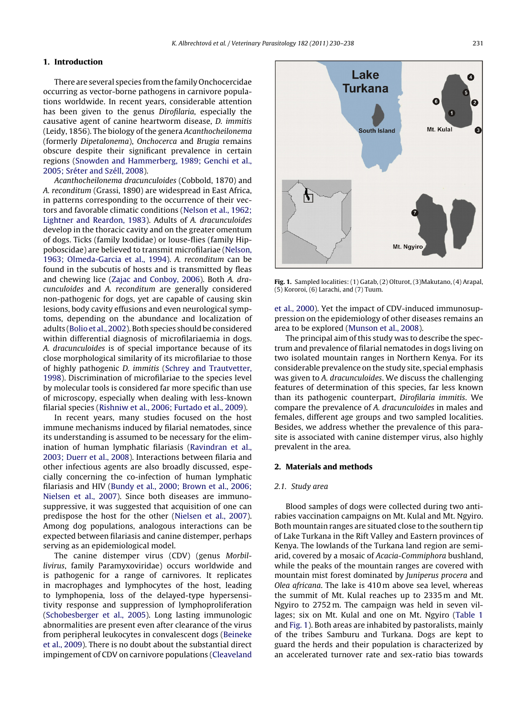# **1. Introduction**

There are several species from the family Onchocercidae occurring as vector-borne pathogens in carnivore populations worldwide. In recent years, considerable attention has been given to the genus Dirofilaria, especially the causative agent of canine heartworm disease, D. immitis (Leidy, 1856). The biology of the genera Acanthocheilonema (formerly Dipetalonema), Onchocerca and Brugia remains obscure despite their significant prevalence in certain regions [\(Snowden](#page-8-0) [and](#page-8-0) [Hammerberg,](#page-8-0) [1989;](#page-8-0) [Genchi](#page-8-0) et [al.,](#page-8-0) [2005;](#page-8-0) [Sréter](#page-8-0) [and](#page-8-0) [Széll,](#page-8-0) [2008\).](#page-8-0)

Acanthocheilonema dracunculoides (Cobbold, 1870) and A. reconditum (Grassi, 1890) are widespread in East Africa, in patterns corresponding to the occurrence of their vectors and favorable climatic conditions ([Nelson](#page-7-0) et [al.,](#page-7-0) [1962;](#page-7-0) [Lightner](#page-7-0) [and](#page-7-0) [Reardon,](#page-7-0) [1983\).](#page-7-0) Adults of A. dracunculoides develop in the thoracic cavity and on the greater omentum of dogs. Ticks (family Ixodidae) or louse-flies (family Hippoboscidae) are believed to transmit microfilariae [\(Nelson,](#page-7-0) [1963;](#page-7-0) [Olmeda-Garcia](#page-7-0) et [al.,](#page-7-0) [1994\).](#page-7-0) A. reconditum can be found in the subcutis of hosts and is transmitted by fleas and chewing lice ([Zajac](#page-8-0) [and](#page-8-0) [Conboy,](#page-8-0) [2006\).](#page-8-0) Both A. dracunculoides and A. reconditum are generally considered non-pathogenic for dogs, yet are capable of causing skin lesions, body cavity effusions and even neurological symptoms, depending on the abundance and localization of adults [\(Bolio](#page-7-0) et al., 2002). Both species should be considered within differential diagnosis of microfilariaemia in dogs. A. dracunculoides is of special importance because of its close morphological similarity of its microfilariae to those of highly pathogenic D. immitis ([Schrey](#page-8-0) [and](#page-8-0) [Trautvetter,](#page-8-0) [1998\).](#page-8-0) Discrimination of microfilariae to the species level by molecular tools is considered far more specific than use of microscopy, especially when dealing with less-known filarial species ([Rishniw](#page-7-0) et [al.,](#page-7-0) [2006;](#page-7-0) [Furtado](#page-7-0) et [al.,](#page-7-0) [2009\).](#page-7-0)

In recent years, many studies focused on the host immune mechanisms induced by filarial nematodes, since its understanding is assumed to be necessary for the elimination of human lymphatic filariasis [\(Ravindran](#page-7-0) et [al.,](#page-7-0) [2003;](#page-7-0) [Duerr](#page-7-0) et [al.,](#page-7-0) [2008\).](#page-7-0) Interactions between filaria and other infectious agents are also broadly discussed, especially concerning the co-infection of human lymphatic filariasis and HIV [\(Bundy](#page-7-0) et [al.,](#page-7-0) [2000;](#page-7-0) [Brown](#page-7-0) et [al.,](#page-7-0) [2006;](#page-7-0) [Nielsen](#page-7-0) et [al.,](#page-7-0) [2007\).](#page-7-0) Since both diseases are immunosuppressive, it was suggested that acquisition of one can predispose the host for the other ([Nielsen](#page-7-0) et [al.,](#page-7-0) [2007\).](#page-7-0) Among dog populations, analogous interactions can be expected between filariasis and canine distemper, perhaps serving as an epidemiological model.

The canine distemper virus (CDV) (genus Morbillivirus, family Paramyxoviridae) occurs worldwide and is pathogenic for a range of carnivores. It replicates in macrophages and lymphocytes of the host, leading to lymphopenia, loss of the delayed-type hypersensitivity response and suppression of lymphoproliferation [\(Schobesberger](#page-8-0) et [al.,](#page-8-0) [2005\).](#page-8-0) Long lasting immunologic abnormalities are present even after clearance of the virus from peripheral leukocytes in convalescent dogs [\(Beineke](#page-7-0) et [al.,](#page-7-0) [2009\).](#page-7-0) There is no doubt about the substantial direct impingement of CDV on carnivore populations ([Cleaveland](#page-7-0)



**Fig. 1.** Sampled localities: (1) Gatab, (2) Olturot, (3)Makutano, (4) Arapal, (5) Kororoi, (6) Larachi, and (7) Tuum.

et [al.,](#page-7-0) [2000\).](#page-7-0) Yet the impact of CDV-induced immunosuppression on the epidemiology of other diseases remains an area to be explored ([Munson](#page-7-0) et [al.,](#page-7-0) [2008\).](#page-7-0)

The principal aim of this study was to describe the spectrum and prevalence of filarial nematodes in dogs living on two isolated mountain ranges in Northern Kenya. For its considerable prevalence on the study site, special emphasis was given to A. dracunculoides. We discuss the challenging features of determination of this species, far less known than its pathogenic counterpart, Dirofilaria immitis. We compare the prevalence of A. dracunculoides in males and females, different age groups and two sampled localities. Besides, we address whether the prevalence of this parasite is associated with canine distemper virus, also highly prevalent in the area.

# **2. Materials and methods**

# 2.1. Study area

Blood samples of dogs were collected during two antirabies vaccination campaigns on Mt. Kulal and Mt. Ngyiro. Both mountain ranges are situated close to the southern tip of Lake Turkana in the Rift Valley and Eastern provinces of Kenya. The lowlands of the Turkana land region are semiarid, covered by a mosaic of Acacia-Commiphora bushland, while the peaks of the mountain ranges are covered with mountain mist forest dominated by Juniperus procera and Olea africana. The lake is 410 m above sea level, whereas the summit of Mt. Kulal reaches up to 2335 m and Mt. Ngyiro to 2752 m. The campaign was held in seven villages; six on Mt. Kulal and one on Mt. Ngyiro [\(Table](#page-2-0) 1 and Fig. 1). Both areas are inhabited by pastoralists, mainly of the tribes Samburu and Turkana. Dogs are kept to guard the herds and their population is characterized by an accelerated turnover rate and sex-ratio bias towards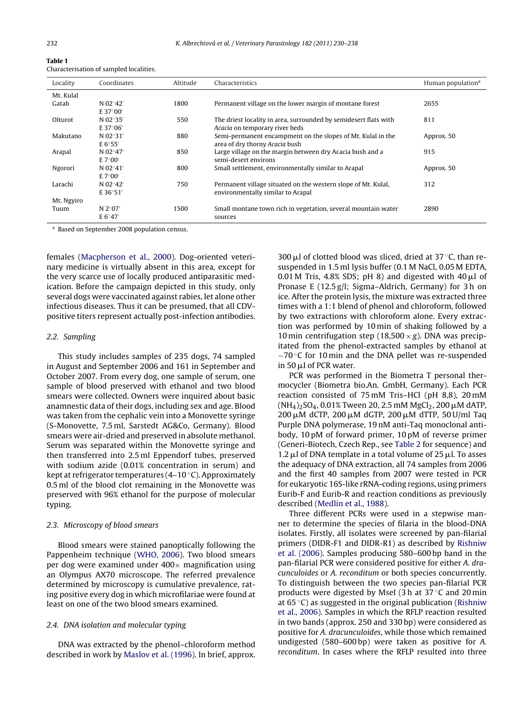<span id="page-2-0"></span>

| Table 1                                 |  |
|-----------------------------------------|--|
| Characterisation of sampled localities. |  |

| Locality   | Coordinates       | Altitude | Characteristics                                                  | Human population <sup>a</sup> |
|------------|-------------------|----------|------------------------------------------------------------------|-------------------------------|
| Mt. Kulal  |                   |          |                                                                  |                               |
| Gatab      | N 02°42′          | 1800     | Permanent village on the lower margin of montane forest          | 2655                          |
|            | E 37°00'          |          |                                                                  |                               |
| Olturot    | N $02^{\circ}35'$ | 550      | The driest locality in area, surrounded by semidesert flats with | 811                           |
|            | E 37°06′          |          | Acacia on temporary river beds                                   |                               |
| Makutano   | N $02^{\circ}31'$ | 880      | Semi-permanent encampment on the slopes of Mt. Kulal in the      | Approx, 50                    |
|            | E 6°55'           |          | area of dry thorny Acacia bush                                   |                               |
| Arapal     | N 02°47'          | 850      | Large village on the margin between dry Acacia bush and a        | 915                           |
|            | E 7°00'           |          | semi-desert environs                                             |                               |
| Ngorori    | N $02^{\circ}41'$ | 800      | Small settlement, environmentally similar to Arapal              | Approx, 50                    |
|            | E 7°00'           |          |                                                                  |                               |
| Larachi    | N 02°42′          | 750      | Permanent village situated on the western slope of Mt. Kulal,    | 312                           |
|            | E36°51'           |          | environmentally similar to Arapal                                |                               |
| Mt. Ngyiro |                   |          |                                                                  |                               |
| Tuum       | N $2^{\circ}07'$  | 1500     | Small montane town rich in vegetation, several mountain water    | 2890                          |
|            | E $6^{\circ}47'$  |          | sources                                                          |                               |

<sup>a</sup> Based on September 2008 population census.

females [\(Macpherson](#page-7-0) et [al.,](#page-7-0) [2000\).](#page-7-0) Dog-oriented veterinary medicine is virtually absent in this area, except for the very scarce use of locally produced antiparasitic medication. Before the campaign depicted in this study, only several dogs were vaccinated against rabies, let alone other infectious diseases. Thus it can be presumed, that all CDVpositive titers represent actually post-infection antibodies.

### 2.2. Sampling

This study includes samples of 235 dogs, 74 sampled in August and September 2006 and 161 in September and October 2007. From every dog, one sample of serum, one sample of blood preserved with ethanol and two blood smears were collected. Owners were inquired about basic anamnestic data of their dogs, including sex and age. Blood was taken from the cephalic vein into a Monovette syringe (S-Monovette, 7.5 ml, Sarstedt AG&Co, Germany). Blood smears were air-dried and preserved in absolute methanol. Serum was separated within the Monovette syringe and then transferred into 2.5 ml Eppendorf tubes, preserved with sodium azide (0.01% concentration in serum) and kept at refrigerator temperatures  $(4-10\degree C)$ . Approximately 0.5 ml of the blood clot remaining in the Monovette was preserved with 96% ethanol for the purpose of molecular typing.

# 2.3. Microscopy of blood smears

Blood smears were stained panoptically following the Pappenheim technique ([WHO,](#page-8-0) [2006\).](#page-8-0) Two blood smears per dog were examined under  $400\times$  magnification using an Olympus AX70 microscope. The referred prevalence determined by microscopy is cumulative prevalence, rating positive every dog in which microfilariae were found at least on one of the two blood smears examined.

# 2.4. DNA isolation and molecular typing

DNA was extracted by the phenol–chloroform method described in work by [Maslov](#page-7-0) et [al.](#page-7-0) [\(1996\).](#page-7-0) In brief, approx.

300  $\mu$ l of clotted blood was sliced, dried at 37 °C, than resuspended in 1.5 ml lysis buffer (0.1 M NaCl, 0.05 M EDTA,  $0.01$  M Tris,  $4.8\%$  SDS; pH 8) and digested with  $40 \,\mu$ l of Pronase E (12.5 g/l; Sigma–Aldrich, Germany) for 3 h on ice. After the protein lysis, the mixture was extracted three times with a 1:1 blend of phenol and chloroform, followed by two extractions with chloroform alone. Every extraction was performed by 10 min of shaking followed by a 10 min centrifugation step (18,500  $\times$  g). DNA was precipitated from the phenol-extracted samples by ethanol at −70 ◦C for 10 min and the DNA pellet was re-suspended in 50 µl of PCR water.

PCR was performed in the Biometra T personal thermocycler (Biometra bio.An. GmbH, Germany). Each PCR reaction consisted of 75 mM Tris–HCl (pH 8,8), 20 mM  $(\mathrm{NH}_4)_2\mathrm{SO}_4$ , 0.01% Tween 20, 2.5 mM MgCl $_2$ , 200  $\mu$ M dATP, 200 µM dCTP, 200 µM dGTP, 200 µM dTTP, 50 U/ml Taq Purple DNA polymerase, 19 nM anti-Taq monoclonal antibody, 10 pM of forward primer, 10 pM of reverse primer (Generi-Biotech, Czech Rep., see [Table](#page-3-0) 2 for sequence) and  $1.2 \mu$ l of DNA template in a total volume of 25  $\mu$ l. To asses the adequacy of DNA extraction, all 74 samples from 2006 and the first 40 samples from 2007 were tested in PCR for eukaryotic 16S-like rRNA-coding regions, using primers Eurib-F and Eurib-R and reaction conditions as previously described [\(Medlin](#page-7-0) et [al.,](#page-7-0) [1988\).](#page-7-0)

Three different PCRs were used in a stepwise manner to determine the species of filaria in the blood-DNA isolates. Firstly, all isolates were screened by pan-filarial primers (DIDR-F1 and DIDR-R1) as described by [Rishniw](#page-7-0) et [al.](#page-7-0) [\(2006\).](#page-7-0) Samples producing 580–600 bp band in the pan-filarial PCR were considered positive for either A. dracunculoides or A. reconditum or both species concurrently. To distinguish between the two species pan-filarial PCR products were digested by MseI (3 h at 37 ◦C and 20 min at 65 ◦C) as suggested in the original publication [\(Rishniw](#page-7-0) et [al.,](#page-7-0) [2006\).](#page-7-0) Samples in which the RFLP reaction resulted in two bands (approx. 250 and 330 bp) were considered as positive for A. dracunculoides, while those which remained undigested (580–600 bp) were taken as positive for A. reconditum. In cases where the RFLP resulted into three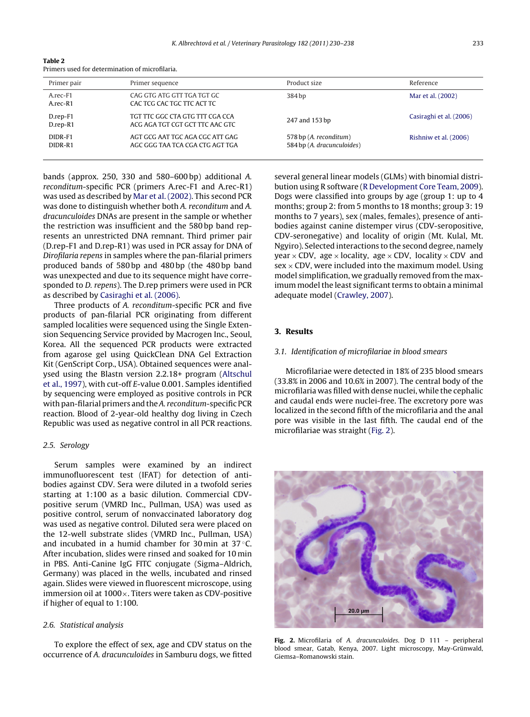<span id="page-3-0"></span>

| Table 2 |                                                 |  |
|---------|-------------------------------------------------|--|
|         | Primers used for determination of microfilaria. |  |

| Primer pair                | Primer sequence                                                    | Product size                                         | Reference               |
|----------------------------|--------------------------------------------------------------------|------------------------------------------------------|-------------------------|
| A.rec-F1<br>A.rec-R1       | CAG GTG ATG GTT TGA TGT GC<br>CAC TCG CAC TGC TTC ACT TC           | 384 bp                                               | Mar et al. (2002)       |
| D.rep-F1<br>$D$ .rep- $R1$ | TGT TTC GGC CTA GTG TTT CGA CCA<br>ACG AGA TGT CGT GCT TTC AAC GTC | 247 and 153 bp                                       | Casiraghi et al. (2006) |
| DIDR-F1<br>DIDR-R1         | AGT GCG AAT TGC AGA CGC ATT GAG<br>AGC GGG TAA TCA CGA CTG AGT TGA | 578 bp (A. reconditum)<br>584 bp (A. dracunculoides) | Rishniw et al. (2006)   |

bands (approx. 250, 330 and 580–600 bp) additional A. reconditum-specific PCR (primers A.rec-F1 and A.rec-R1) was used as described by [Mar](#page-7-0) et [al.](#page-7-0) [\(2002\).](#page-7-0) This second PCR was done to distinguish whether both A. reconditum and A. dracunculoides DNAs are present in the sample or whether the restriction was insufficient and the 580 bp band represents an unrestricted DNA remnant. Third primer pair (D.rep-F1 and D.rep-R1) was used in PCR assay for DNA of Dirofilaria repens in samples where the pan-filarial primers produced bands of 580 bp and 480 bp (the 480 bp band was unexpected and due to its sequence might have corresponded to D. repens). The D.rep primers were used in PCR as described by [Casiraghi](#page-7-0) et [al.](#page-7-0) [\(2006\).](#page-7-0)

Three products of A. reconditum-specific PCR and five products of pan-filarial PCR originating from different sampled localities were sequenced using the Single Extension Sequencing Service provided by Macrogen Inc., Seoul, Korea. All the sequenced PCR products were extracted from agarose gel using QuickClean DNA Gel Extraction Kit (GenScript Corp., USA). Obtained sequences were analysed using the Blastn version 2.2.18+ program [\(Altschul](#page-7-0) et [al.,](#page-7-0) [1997\),](#page-7-0) with cut-off E-value 0.001. Samples identified by sequencing were employed as positive controls in PCR with pan-filarial primers and the A. reconditum-specific PCR reaction. Blood of 2-year-old healthy dog living in Czech Republic was used as negative control in all PCR reactions.

# 2.5. Serology

Serum samples were examined by an indirect immunofluorescent test (IFAT) for detection of antibodies against CDV. Sera were diluted in a twofold series starting at 1:100 as a basic dilution. Commercial CDVpositive serum (VMRD Inc., Pullman, USA) was used as positive control, serum of nonvaccinated laboratory dog was used as negative control. Diluted sera were placed on the 12-well substrate slides (VMRD Inc., Pullman, USA) and incubated in a humid chamber for 30 min at 37 ◦C. After incubation, slides were rinsed and soaked for 10 min in PBS. Anti-Canine IgG FITC conjugate (Sigma–Aldrich, Germany) was placed in the wells, incubated and rinsed again. Slides were viewed in fluorescent microscope, using immersion oil at 1000×. Titers were taken as CDV-positive if higher of equal to 1:100.

# 2.6. Statistical analysis

To explore the effect of sex, age and CDV status on the occurrence of A. dracunculoides in Samburu dogs, we fitted

several general linear models (GLMs) with binomial distribution using R software [\(R](#page-7-0) [Development](#page-7-0) [Core](#page-7-0) [Team,](#page-7-0) [2009\).](#page-7-0) Dogs were classified into groups by age (group 1: up to 4 months; group 2: from 5 months to 18 months; group 3: 19 months to 7 years), sex (males, females), presence of antibodies against canine distemper virus (CDV-seropositive, CDV-seronegative) and locality of origin (Mt. Kulal, Mt. Ngyiro). Selected interactions to the second degree, namely year  $\times$  CDV, age  $\times$  locality, age  $\times$  CDV, locality  $\times$  CDV and  $sex \times CDV$ , were included into the maximum model. Using model simplification, we gradually removed from the maximum model the least significant terms to obtain a minimal adequate model ([Crawley,](#page-7-0) [2007\).](#page-7-0)

# **3. Results**

# 3.1. Identification of microfilariae in blood smears

Microfilariae were detected in 18% of 235 blood smears (33.8% in 2006 and 10.6% in 2007). The central body of the microfilaria was filled with dense nuclei, while the cephalic and caudal ends were nuclei-free. The excretory pore was localized in the second fifth of the microfilaria and the anal pore was visible in the last fifth. The caudal end of the microfilariae was straight (Fig. 2).



**Fig. 2.** Microfilaria of A. dracunculoides. Dog D 111 – peripheral blood smear, Gatab, Kenya, 2007. Light microscopy, May-Grünwald, Giemsa–Romanowski stain.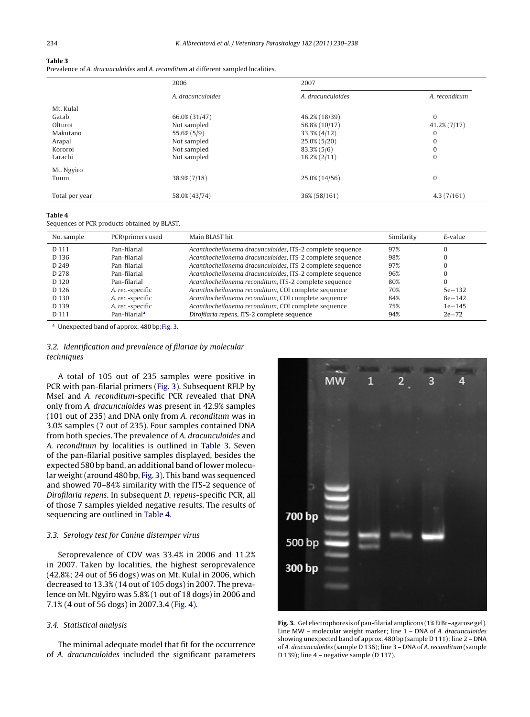### **Table 3**

Prevalence of A. dracunculoides and A. reconditum at different sampled localities.

| 2006              | 2007              |                 |
|-------------------|-------------------|-----------------|
| A. dracunculoides | A. dracunculoides | A. reconditum   |
|                   |                   |                 |
| 66.0% (31/47)     | 46.2% (18/39)     | $\Omega$        |
| Not sampled       | 58.8% (10/17)     | $41.2\%$ (7/17) |
| 55.6% (5/9)       | 33.3% (4/12)      | $\mathbf{0}$    |
| Not sampled       | 25.0% (5/20)      | $\mathbf{0}$    |
| Not sampled       | $83.3\%$ (5/6)    | $\mathbf{0}$    |
| Not sampled       | $18.2\%$ $(2/11)$ | $\mathbf{0}$    |
|                   |                   |                 |
| 38.9% (7/18)      | 25.0% (14/56)     | $\mathbf{0}$    |
| 58.0% (43/74)     | 36% (58/161)      | 4.3(7/161)      |
|                   |                   |                 |

### **Table 4**

Sequences of PCR products obtained by BLAST.

| No. sample       | PCR/primers used          | Main BLAST hit                                            | Similarity | E-value    |
|------------------|---------------------------|-----------------------------------------------------------|------------|------------|
| D 111            | Pan-filarial              | Acanthocheilonema dracunculoides, ITS-2 complete sequence | 97%        | 0          |
| D <sub>136</sub> | Pan-filarial              | Acanthocheilonema dracunculoides, ITS-2 complete sequence | 98%        | 0          |
| D 249            | Pan-filarial              | Acanthocheilonema dracunculoides, ITS-2 complete sequence | 97%        | $\Omega$   |
| D 278            | Pan-filarial              | Acanthocheilonema dracunculoides, ITS-2 complete sequence | 96%        | 0          |
| D <sub>120</sub> | Pan-filarial              | Acanthocheilonema reconditum, ITS-2 complete sequence     | 80%        | 0          |
| D <sub>126</sub> | A. rec.-specific          | Acanthocheilonema reconditum, COI complete sequence       | 70%        | $5e - 132$ |
| D 130            | A. rec.-specific          | Acanthocheilonema reconditum, COI complete sequence       | 84%        | $8e - 142$ |
| D <sub>139</sub> | A. rec.-specific          | Acanthocheilonema reconditum, COI complete sequence       | 75%        | $1e - 145$ |
| D 111            | Pan-filarial <sup>a</sup> | Dirofilaria repens, ITS-2 complete sequence               | 94%        | $2e-72$    |

<sup>a</sup> Unexpected band of approx. 480 bp;Fig. 3.

# 3.2. Identification and prevalence of filariae by molecular techniques

A total of 105 out of 235 samples were positive in PCR with pan-filarial primers (Fig. 3). Subsequent RFLP by MseI and A. reconditum-specific PCR revealed that DNA only from A. dracunculoides was present in 42.9% samples (101 out of 235) and DNA only from A. reconditum was in 3.0% samples (7 out of 235). Four samples contained DNA from both species. The prevalence of A. dracunculoides and A. reconditum by localities is outlined in Table 3. Seven of the pan-filarial positive samples displayed, besides the expected 580 bp band, an additional band of lower molecular weight(around 480 bp, Fig. 3). This band was sequenced and showed 70–84% similarity with the ITS-2 sequence of Dirofilaria repens. In subsequent D. repens-specific PCR, all of those 7 samples yielded negative results. The results of sequencing are outlined in Table 4.

## 3.3. Serology test for Canine distemper virus

Seroprevalence of CDV was 33.4% in 2006 and 11.2% in 2007. Taken by localities, the highest seroprevalence (42.8%; 24 out of 56 dogs) was on Mt. Kulal in 2006, which decreased to 13.3% (14 out of 105 dogs) in 2007. The prevalence on Mt. Ngyiro was 5.8% (1 out of 18 dogs) in 2006 and 7.1% (4 out of 56 dogs) in 2007.3.4 [\(Fig.](#page-5-0) 4).

# 3.4. Statistical analysis

The minimal adequate model that fit for the occurrence of A. dracunculoides included the significant parameters



**Fig. 3.** Gel electrophoresis of pan-filarial amplicons (1% EtBr–agarose gel). Line MW – molecular weight marker; line 1 – DNA of A. dracunculoides showing unexpected band of approx. 480 bp (sample D 111); line 2 – DNA of A. dracunculoides (sample D 136); line 3 – DNA of A. reconditum (sample D 139); line  $4$  – negative sample (D 137).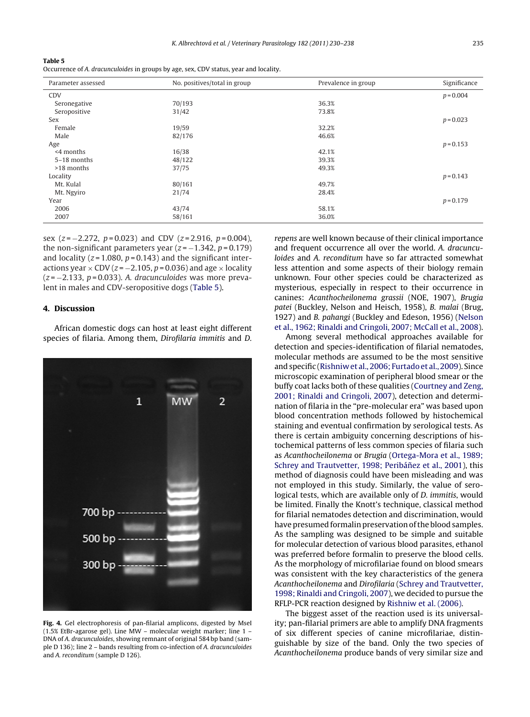<span id="page-5-0"></span>**Table 5**

Occurrence of A. dracunculoides in groups by age, sex, CDV status, year and locality.

| Parameter assessed | No. positives/total in group | Prevalence in group | Significance |
|--------------------|------------------------------|---------------------|--------------|
| <b>CDV</b>         |                              |                     | $p = 0.004$  |
| Seronegative       | 70/193                       | 36.3%               |              |
| Seropositive       | 31/42                        | 73.8%               |              |
| Sex                |                              |                     | $p = 0.023$  |
| Female             | 19/59                        | 32.2%               |              |
| Male               | 82/176                       | 46.6%               |              |
| Age                |                              |                     | $p = 0.153$  |
| <4 months          | 16/38                        | 42.1%               |              |
| 5-18 months        | 48/122                       | 39.3%               |              |
| >18 months         | 37/75                        | 49.3%               |              |
| Locality           |                              |                     | $p = 0.143$  |
| Mt. Kulal          | 80/161                       | 49.7%               |              |
| Mt. Ngyiro         | 21/74                        | 28.4%               |              |
| Year               |                              |                     | $p = 0.179$  |
| 2006               | 43/74                        | 58.1%               |              |
| 2007               | 58/161                       | 36.0%               |              |

sex ( $z = -2.272$ ,  $p = 0.023$ ) and CDV ( $z = 2.916$ ,  $p = 0.004$ ), the non-significant parameters year  $(z = -1.342, p = 0.179)$ and locality ( $z = 1.080$ ,  $p = 0.143$ ) and the significant interactions year  $\times$  CDV ( $z = -2.105$ ,  $p = 0.036$ ) and age  $\times$  locality  $(z = -2.133, p = 0.033)$ . A. dracunculoides was more prevalent in males and CDV-seropositive dogs (Table 5).

# **4. Discussion**

African domestic dogs can host at least eight different species of filaria. Among them, Dirofilaria immitis and D.



**Fig. 4.** Gel electrophoresis of pan-filarial amplicons, digested by MseI (1.5% EtBr-agarose gel). Line MW – molecular weight marker; line 1 – DNA of A. dracunculoides, showing remnant of original 584 bp band (sample D 136); line 2 – bands resulting from co-infection of A. dracunculoides and A. reconditum (sample D 126).

repens are well known because of their clinical importance and frequent occurrence all over the world. A. dracunculoides and A. reconditum have so far attracted somewhat less attention and some aspects of their biology remain unknown. Four other species could be characterized as mysterious, especially in respect to their occurrence in canines: Acanthocheilonema grassii (NOE, 1907), Brugia patei (Buckley, Nelson and Heisch, 1958), B. malai (Brug, 1927) and B. pahangi (Buckley and Edeson, 1956) [\(Nelson](#page-7-0) et [al.,](#page-7-0) [1962;](#page-7-0) [Rinaldi](#page-7-0) [and](#page-7-0) [Cringoli,](#page-7-0) [2007;](#page-7-0) [McCall](#page-7-0) et [al.,](#page-7-0) [2008\).](#page-7-0)

Among several methodical approaches available for detection and species-identification of filarial nematodes, molecular methods are assumed to be the most sensitive andspecific ([Rishniw](#page-7-0) [et](#page-7-0) [al.,](#page-7-0) [2006;](#page-7-0) [Furtado](#page-7-0) et [al.,](#page-7-0) [2009\).](#page-7-0) Since microscopic examination of peripheral blood smear or the buffy coat lacks both of these qualities [\(Courtney](#page-7-0) [and](#page-7-0) [Zeng,](#page-7-0) [2001;](#page-7-0) [Rinaldi](#page-7-0) [and](#page-7-0) [Cringoli,](#page-7-0) [2007\),](#page-7-0) detection and determination of filaria in the "pre-molecular era" was based upon blood concentration methods followed by histochemical staining and eventual confirmation by serological tests. As there is certain ambiguity concerning descriptions of histochemical patterns of less common species of filaria such as Acanthocheilonema or Brugia ([Ortega-Mora](#page-7-0) et [al.,](#page-7-0) [1989;](#page-7-0) [Schrey](#page-7-0) [and](#page-7-0) [Trautvetter,](#page-7-0) [1998;](#page-7-0) Peribáñez et [al.,](#page-7-0) [2001\),](#page-7-0) this method of diagnosis could have been misleading and was not employed in this study. Similarly, the value of serological tests, which are available only of D. immitis, would be limited. Finally the Knott's technique, classical method for filarial nematodes detection and discrimination, would have presumed formalin preservation of the blood samples. As the sampling was designed to be simple and suitable for molecular detection of various blood parasites, ethanol was preferred before formalin to preserve the blood cells. As the morphology of microfilariae found on blood smears was consistent with the key characteristics of the genera Acanthocheilonema and Dirofilaria ([Schrey](#page-8-0) [and](#page-8-0) [Trautvetter,](#page-8-0) [1998;](#page-8-0) [Rinaldi](#page-8-0) [and](#page-8-0) [Cringoli,](#page-8-0) [2007\),](#page-8-0) we decided to pursue the RFLP-PCR reaction designed by [Rishniw](#page-7-0) et [al.](#page-7-0) [\(2006\).](#page-7-0)

The biggest asset of the reaction used is its universality; pan-filarial primers are able to amplify DNA fragments of six different species of canine microfilariae, distinguishable by size of the band. Only the two species of Acanthocheilonema produce bands of very similar size and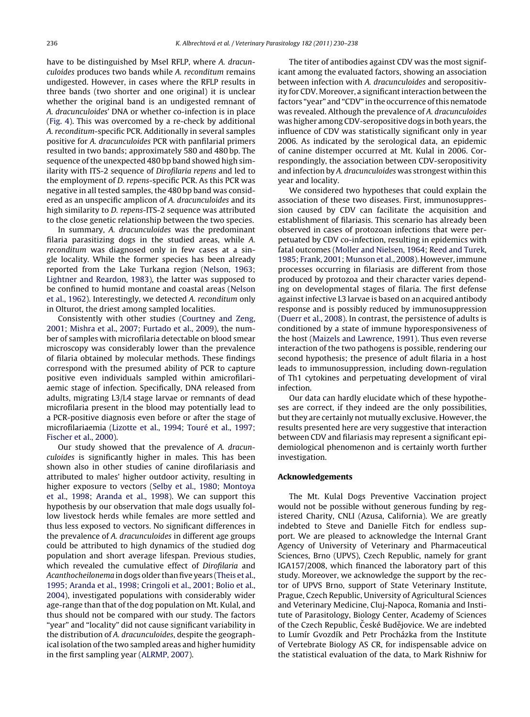have to be distinguished by MseI RFLP, where A. dracunculoides produces two bands while A. reconditum remains undigested. However, in cases where the RFLP results in three bands (two shorter and one original) it is unclear whether the original band is an undigested remnant of A. dracunculoides' DNA or whether co-infection is in place [\(Fig.](#page-5-0) 4). This was overcomed by a re-check by additional A. reconditum-specific PCR. Additionally in several samples positive for A. dracunculoides PCR with panfilarial primers resulted in two bands; approximately 580 and 480 bp. The sequence of the unexpected 480 bp band showed high similarity with ITS-2 sequence of Dirofilaria repens and led to the employment of D. repens-specific PCR. As this PCR was negative in all tested samples, the 480 bp band was considered as an unspecific amplicon of A. dracunculoides and its high similarity to D. repens-ITS-2 sequence was attributed to the close genetic relationship between the two species.

In summary, A. dracunculoides was the predominant filaria parasitizing dogs in the studied areas, while A. reconditum was diagnosed only in few cases at a single locality. While the former species has been already reported from the Lake Turkana region [\(Nelson,](#page-7-0) [1963;](#page-7-0) [Lightner](#page-7-0) [and](#page-7-0) [Reardon,](#page-7-0) [1983\),](#page-7-0) the latter was supposed to be confined to humid montane and coastal areas ([Nelson](#page-7-0) et [al.,](#page-7-0) [1962\).](#page-7-0) Interestingly, we detected A. reconditum only in Olturot, the driest among sampled localities.

Consistently with other studies [\(Courtney](#page-7-0) [and](#page-7-0) [Zeng,](#page-7-0) [2001;](#page-7-0) [Mishra](#page-7-0) et [al.,](#page-7-0) [2007;](#page-7-0) [Furtado](#page-7-0) et [al.,](#page-7-0) [2009\),](#page-7-0) the number of samples with microfilaria detectable on blood smear microscopy was considerably lower than the prevalence of filaria obtained by molecular methods. These findings correspond with the presumed ability of PCR to capture positive even individuals sampled within amicrofilariaemic stage of infection. Specifically, DNA released from adults, migrating L3/L4 stage larvae or remnants of dead microfilaria present in the blood may potentially lead to a PCR-positive diagnosis even before or after the stage of microfilariaemia ([Lizotte](#page-7-0) et [al.,](#page-7-0) [1994;](#page-7-0) [Touré](#page-7-0) et [al.,](#page-7-0) [1997;](#page-7-0) [Fischer](#page-7-0) et [al.,](#page-7-0) [2000\).](#page-7-0)

Our study showed that the prevalence of A. dracunculoides is significantly higher in males. This has been shown also in other studies of canine dirofilariasis and attributed to males' higher outdoor activity, resulting in higher exposure to vectors [\(Selby](#page-7-0) et [al.,](#page-7-0) [1980;](#page-7-0) [Montoya](#page-7-0) et [al.,](#page-7-0) [1998;](#page-7-0) [Aranda](#page-7-0) et [al.,](#page-7-0) [1998\).](#page-7-0) We can support this hypothesis by our observation that male dogs usually follow livestock herds while females are more settled and thus less exposed to vectors. No significant differences in the prevalence of A. dracunculoides in different age groups could be attributed to high dynamics of the studied dog population and short average lifespan. Previous studies, which revealed the cumulative effect of Dirofilaria and Acanthocheilonema in dogs older than five years [\(Theis](#page-8-0) et [al.,](#page-8-0) [1995;](#page-8-0) [Aranda](#page-8-0) et [al.,](#page-8-0) [1998;](#page-8-0) [Cringoli](#page-8-0) et [al.,](#page-8-0) [2001;](#page-8-0) [Bolio](#page-8-0) et [al.,](#page-8-0) [2004\),](#page-8-0) investigated populations with considerably wider age-range than that of the dog population on Mt. Kulal, and thus should not be compared with our study. The factors "year" and "locality" did not cause significant variability in the distribution of A. dracunculoides, despite the geographical isolation of the two sampled areas and higher humidity in the first sampling year [\(ALRMP,](#page-7-0) [2007\).](#page-7-0)

The titer of antibodies against CDV was the most significant among the evaluated factors, showing an association between infection with A. dracunculoides and seropositivity for CDV. Moreover, a significant interaction between the factors "year" and "CDV" in the occurrence ofthis nematode was revealed. Although the prevalence of A. dracunculoides was higher among CDV-seropositive dogs in both years,the influence of CDV was statistically significant only in year 2006. As indicated by the serological data, an epidemic of canine distemper occurred at Mt. Kulal in 2006. Correspondingly, the association between CDV-seropositivity and infection by A. dracunculoides was strongest within this year and locality.

We considered two hypotheses that could explain the association of these two diseases. First, immunosuppression caused by CDV can facilitate the acquisition and establishment of filariasis. This scenario has already been observed in cases of protozoan infections that were perpetuated by CDV co-infection, resulting in epidemics with fatal outcomes ([Moller](#page-7-0) [and](#page-7-0) [Nielsen,](#page-7-0) [1964;](#page-7-0) [Reed](#page-7-0) [and](#page-7-0) [Turek,](#page-7-0) [1985;](#page-7-0) [Frank,](#page-7-0) [2001;](#page-7-0) [Munson](#page-7-0) et [al.,](#page-7-0) [2008\).](#page-7-0) However, immune processes occurring in filariasis are different from those produced by protozoa and their character varies depending on developmental stages of filaria. The first defense against infective L3 larvae is based on an acquired antibody response and is possibly reduced by immunosuppression [\(Duerr](#page-7-0) et [al.,](#page-7-0) [2008\).](#page-7-0) In contrast, the persistence of adults is conditioned by a state of immune hyporesponsiveness of the host ([Maizels](#page-7-0) [and](#page-7-0) [Lawrence,](#page-7-0) [1991\).](#page-7-0) Thus even reverse interaction of the two pathogens is possible, rendering our second hypothesis; the presence of adult filaria in a host leads to immunosuppression, including down-regulation of Th1 cytokines and perpetuating development of viral infection.

Our data can hardly elucidate which of these hypotheses are correct, if they indeed are the only possibilities, but they are certainly not mutually exclusive. However, the results presented here are very suggestive that interaction between CDV and filariasis may represent a significant epidemiological phenomenon and is certainly worth further investigation.

### **Acknowledgements**

The Mt. Kulal Dogs Preventive Vaccination project would not be possible without generous funding by registered Charity, CNLI (Azusa, California). We are greatly indebted to Steve and Danielle Fitch for endless support. We are pleased to acknowledge the Internal Grant Agency of University of Veterinary and Pharmaceutical Sciences, Brno (UPVS), Czech Republic, namely for grant IGA157/2008, which financed the laboratory part of this study. Moreover, we acknowledge the support by the rector of UPVS Brno, support of State Veterinary Institute, Prague, Czech Republic, University of Agricultural Sciences and Veterinary Medicine, Cluj-Napoca, Romania and Institute of Parasitology, Biology Center, Academy of Sciences of the Czech Republic, České Budějovice. We are indebted to Lumír Gvozdík and Petr Procházka from the Institute of Vertebrate Biology AS CR, for indispensable advice on the statistical evaluation of the data, to Mark Rishniw for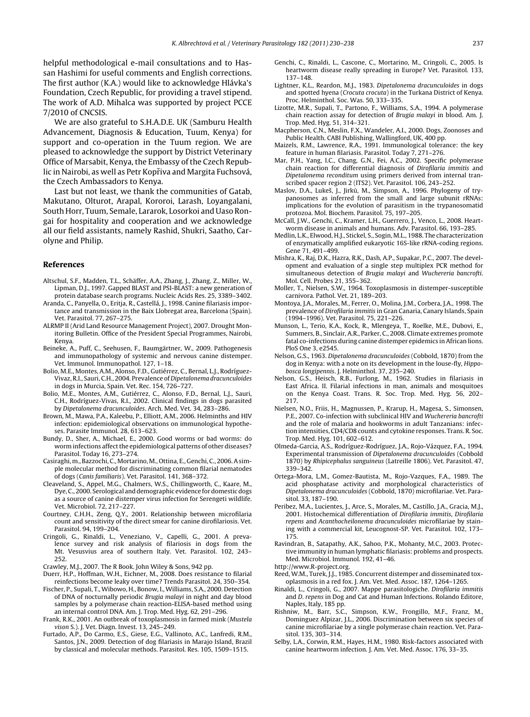<span id="page-7-0"></span>helpful methodological e-mail consultations and to Hassan Hashimi for useful comments and English corrections. The first author (K.A.) would like to acknowledge Hlávka's Foundation, Czech Republic, for providing a travel stipend. The work of A.D. Mihalca was supported by project PCCE 7/2010 of CNCSIS.

We are also grateful to S.H.A.D.E. UK (Samburu Health Advancement, Diagnosis & Education, Tuum, Kenya) for support and co-operation in the Tuum region. We are pleased to acknowledge the support by District Veterinary Office of Marsabit, Kenya, the Embassy of the Czech Republic in Nairobi, as well as Petr Kopřiva and Margita Fuchsová, the Czech Ambassadors to Kenya.

Last but not least, we thank the communities of Gatab, Makutano, Olturot, Arapal, Kororoi, Larash, Loyangalani, South Horr, Tuum, Semale, Lararok, Losorkoi and Uaso Rongai for hospitality and cooperation and we acknowledge all our field assistants, namely Rashid, Shukri, Saatho, Carolyne and Philip.

# **References**

- Altschul, S.F., Madden, T.L., Schäffer, A.A., Zhang, J., Zhang, Z., Miller, W., Lipman, D.J., 1997. Gapped BLAST and PSI-BLAST: a new generation of protein database search programs. Nucleic Acids Res. 25, 3389–3402.
- Aranda, C., Panyella, O., Eritja, R., Castellá, J., 1998. Canine filariasis importance and transmission in the Baix Llobregat area, Barcelona (Spain). Vet. Parasitol. 77, 267–275.
- ALRMP II (Arid Land Resource Management Project), 2007. Drought Monitoring Bulletin. Office of the President Special Programmes, Nairobi, Kenya.
- Beineke, A., Puff, C., Seehusen, F., Baumgärtner, W., 2009. Pathogenesis and immunopathology of systemic and nervous canine distemper. Vet. Immunol. Immunopathol. 127, 1–18.
- Bolio, M.E., Montes, A.M., Alonso, F.D., Gutiérrez, C., Bernal, L.J., Rodríguez-Vivaz, R.I., Sauri, C.H., 2004. Prevalence of Dipetalonema dracunculoides in dogs in Murcia, Spain. Vet. Rec. 154, 726–727.
- Bolio, M.E., Montes, A.M., Gutiérrez, C., Alonso, F.D., Bernal, L.J., Sauri, C.H., Rodríguez-Vivas, R.I., 2002. Clinical findings in dogs parasited by Dipetalonema dracunculoides. Arch. Med. Vet. 34, 283–286.
- Brown, M., Mawa, P.A., Kaleebu, P., Elliott, A.M., 2006. Helminths and HIV infection: epidemiological observations on immunological hypotheses. Parasite Immunol. 28, 613–623.
- Bundy, D., Sher, A., Michael, E., 2000. Good worms or bad worms: do worm infections affect the epidemiological patterns of other diseases? Parasitol. Today 16, 273–274.
- Casiraghi,m., Bazzochi, C.,Mortarino,M., Ottina, E., Genchi, C., 2006.Asimple molecular method for discriminating common filarial nematodes of dogs (Canis familiaris). Vet. Parasitol. 141, 368–372.
- Cleaveland, S., Appel, M.G., Chalmers, W.S., Chillingworth, C., Kaare, M., Dye, C., 2000. Serological and demographic evidence for domestic dogs as a source of canine distemper virus infection for Serengeti wildlife. Vet. Microbiol. 72, 217–227.
- Courtney, C.H.H., Zeng, Q.Y., 2001. Relationship between microfilaria count and sensitivity of the direct smear for canine dirofilariosis. Vet. Parasitol. 94, 199–204.
- Cringoli, G., Rinaldi, L., Veneziano, V., Capelli, G., 2001. A preva-lence survey and risk analysis of filariosis in dogs from the Mt. Vesusvius area of southern Italy. Vet. Parasitol. 102, 243– 252.
- Crawley, M.J., 2007. The R Book. John Wiley & Sons, 942 pp.
- Duerr, H.P., Hoffman, W.H., Eichner, M., 2008. Does resistance to filarial reinfections become leaky over time? Trends Parasitol. 24, 350–354.
- Fischer, P., Supali, T.,Wibowo, H., Bonow, I.,Williams, S.A., 2000. Detection of DNA of nocturnally periodic Brugia malayi in night and day blood samples by a polymerase chain reaction-ELISA-based method using an internal control DNA. Am. J. Trop. Med. Hyg. 62, 291–296.
- Frank, R.K., 2001. An outbreak of toxoplasmosis in farmed mink (Mustela vison S.). J. Vet. Diagn. Invest. 13, 245–249.
- Furtado, A.P., Do Carmo, E.S., Giese, E.G., Vallinoto, A.C., Lanfredi, R.M., Santos, J.N., 2009. Detection of dog filariasis in Marajo Island, Brazil by classical and molecular methods. Parasitol. Res. 105, 1509–1515.
- Genchi, C., Rinaldi, L., Cascone, C., Mortarino, M., Cringoli, C., 2005. Is heartworm disease really spreading in Europe? Vet. Parasitol. 133, 137–148.
- Lightner, K.L., Reardon, M.J., 1983. Dipetalonema dracunculoides in dogs and spotted hyena (Crocuta crocuta) in the Turkana District of Kenya. Proc. Helminthol. Soc. Was. 50, 333–335.
- Lizotte, M.R., Supali, T., Partono, F., Williams, S.A., 1994. A polymerase chain reaction assay for detection of Brugia malayi in blood. Am. J. Trop. Med. Hyg. 51, 314–321.
- Macpherson, C.N., Meslin, F.X., Wandeler, A.I., 2000. Dogs, Zoonoses and Public Health. CABI Publishing, Wallingford, UK, 400 pp.
- Maizels, R.M., Lawrence, R.A., 1991. Immunological tolerance: the key feature in human filariasis. Parasitol. Today 7, 271–276.
- Mar, P.H., Yang, I.C., Chang, G.N., Fei, A.C., 2002. Specific polymerase chain reaction for differential diagnosis of Dirofilaria immitis and Dipetalonema reconditum using primers derived from internal transcribed spacer region 2 (ITS2). Vet. Parasitol. 106, 243–252.
- Maslov, D.A., Lukeš, J., Jirků, M., Simpson, A., 1996. Phylogeny of trypanosomes as inferred from the small and large subunit rRNAs: implications for the evolution of parasitism in the trypanosomatid protozoa. Mol. Biochem. Parasitol. 75, 197–205.
- McCall, J.W., Genchi, C., Kramer, L.H., Guerrero, J., Venco, L., 2008. Heartworm disease in animals and humans. Adv. Parasitol. 66, 193–285.
- Medlin, L.K., Elwood, H.J., Stickel, S., Sogin, M.L., 1988. The characterization of enzymatically amplified eukaryotic 16S-like rRNA-coding regions. Gene 71, 491–499.
- Mishra, K., Raj, D.K., Hazra, R.K., Dash, A.P., Supakar, P.C., 2007. The development and evaluation of a single step multiplex PCR method for simultaneous detection of Brugia malayi and Wuchereria bancrofti. Mol. Cell. Probes 21, 355–362.
- Moller, T., Nielsen, S.W., 1964. Toxoplasmosis in distemper-susceptible carnivora. Pathol. Vet. 21, 189–203.
- Montoya, J.A., Morales, M., Ferrer, O., Molina, J.M., Corbera, J.A., 1998. The prevalence of Dirofilaria immitis in Gran Canaria, Canary Islands, Spain (1994–1996). Vet. Parasitol. 75, 221–226.
- Munson, L., Terio, K.A., Kock, R., Mlengeya, T., Roelke, M.E., Dubovi, E., Summers, B., Sinclair, A.R., Parker, C., 2008. Climate extremes promote fatal co-infections during canine distemper epidemics in African lions. PloS One 3, e2545.
- Nelson, G.S., 1963. Dipetalonema dracunculoides (Cobbold, 1870) from the dog in Kenya: with a note on its development in the louse-fly, Hippobosca longipennis. J. Helminthol. 37, 235–240.
- Nelson, G.S., Heisch, R.B., Furlong, M., 1962. Studies in filariasis in East Africa. II. Filarial infections in man, animals and mosquitoes on the Kenya Coast. Trans. R. Soc. Trop. Med. Hyg. 56, 202– 217.
- Nielsen, N.O., Friis, H., Magnussen, P., Krarup, H., Magesa, S., Simonsen, P.E., 2007. Co-infection with subclinical HIV and Wuchereria bancrofti and the role of malaria and hookworms in adult Tanzanians: infection intensities, CD4/CD8 counts and cytokine responses. Trans. R. Soc. Trop. Med. Hyg. 101, 602–612.
- Olmeda-Garcia, A.S., Rodríguez-Rodríguez, J.A., Rojo-Vázquez, F.A., 1994. Experimental transmission of Dipetalonema dracunculoides (Cobbold 1870) by Rhipicephalus sanguineus (Latreille 1806). Vet. Parasitol. 47, 339–342.
- Ortega-Mora, L.M., Gomez-Bautista, M., Rojo-Vazques, F.A., 1989. The acid phosphatase activity and morphological characteristics of Dipetalonema dracunculoides (Cobbold, 1870) microfilariae. Vet. Parasitol. 33, 187–190.
- Peribez, M.A., Lucientes, J., Arce, S., Morales, M., Castillo, J.A., Gracia, M.J., 2001. Histochemical differentiation of Dirofilaria immitis, Dirofilaria repens and Acanthocheilonema dracunculoides microfilariae by staining with a commercial kit, Leucognost-SP. Vet. Parasitol. 102, 173– 175.
- Ravindran, B., Satapathy, A.K., Sahoo, P.K., Mohanty, M.C., 2003. Protective immunity in human lymphatic filariasis: problems and prospects. Med. Microbiol. Immunol. 192, 41-46.
- http://www.R-project.org.
- Reed, W.M., Turek, J.J., 1985. Concurrent distemper and disseminated toxoplasmosis in a red fox. J. Am. Vet. Med. Assoc. 187, 1264–1265.
- Rinaldi, L., Cringoli, G., 2007. Mappe parasitologiche. Dirofilaria immitis and D. repens in Dog and Cat and Human Infections. Rolando Editore, Naples, Italy, 185 pp.
- Rishniw, M., Barr, S.C., Simpson, K.W., Frongillo, M.F., Franz, M., Dominguez Alpizar, J.L., 2006. Discrimination between six species of canine microfilariae by a single polymerase chain reaction. Vet. Parasitol. 135, 303–314.
- Selby, L.A., Corwin, R.M., Hayes, H.M., 1980. Risk-factors associated with canine heartworm infection. J. Am. Vet. Med. Assoc. 176, 33–35.